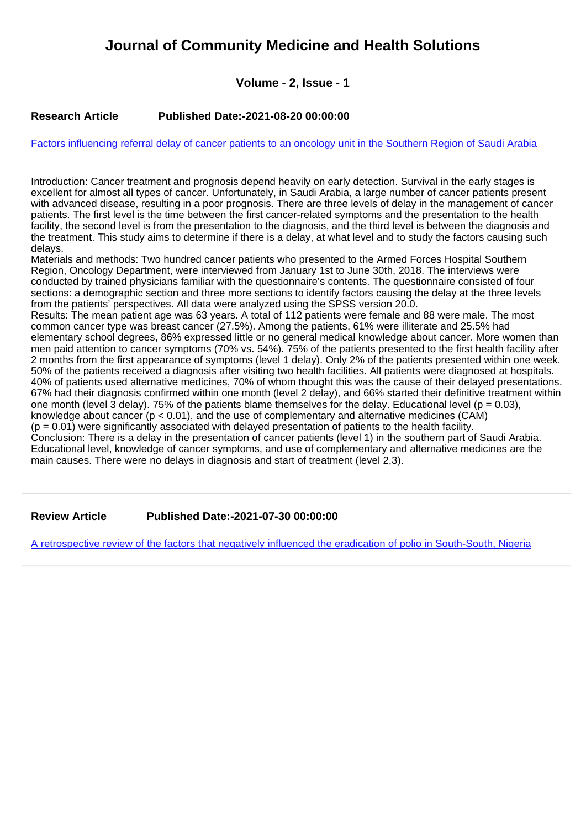# **Journal of Community Medicine and Health Solutions**

# **Volume - 2, Issue - 1**

## **Research Article Published Date:-2021-08-20 00:00:00**

#### [Factors influencing referral delay of cancer patients to an oncology unit in the Southern Region of Saudi Arabia](https://www.communitymedjournal.com/articles/jcmhs-aid1012.pdf)

Introduction: Cancer treatment and prognosis depend heavily on early detection. Survival in the early stages is excellent for almost all types of cancer. Unfortunately, in Saudi Arabia, a large number of cancer patients present with advanced disease, resulting in a poor prognosis. There are three levels of delay in the management of cancer patients. The first level is the time between the first cancer-related symptoms and the presentation to the health facility, the second level is from the presentation to the diagnosis, and the third level is between the diagnosis and the treatment. This study aims to determine if there is a delay, at what level and to study the factors causing such delays.

Materials and methods: Two hundred cancer patients who presented to the Armed Forces Hospital Southern Region, Oncology Department, were interviewed from January 1st to June 30th, 2018. The interviews were conducted by trained physicians familiar with the questionnaire's contents. The questionnaire consisted of four sections: a demographic section and three more sections to identify factors causing the delay at the three levels from the patients' perspectives. All data were analyzed using the SPSS version 20.0.

Results: The mean patient age was 63 years. A total of 112 patients were female and 88 were male. The most common cancer type was breast cancer (27.5%). Among the patients, 61% were illiterate and 25.5% had elementary school degrees, 86% expressed little or no general medical knowledge about cancer. More women than men paid attention to cancer symptoms (70% vs. 54%). 75% of the patients presented to the first health facility after 2 months from the first appearance of symptoms (level 1 delay). Only 2% of the patients presented within one week. 50% of the patients received a diagnosis after visiting two health facilities. All patients were diagnosed at hospitals. 40% of patients used alternative medicines, 70% of whom thought this was the cause of their delayed presentations. 67% had their diagnosis confirmed within one month (level 2 delay), and 66% started their definitive treatment within one month (level  $\tilde{3}$  delay). 75% of the patients blame themselves for the delay. Educational level (p = 0.03), knowledge about cancer ( $p < 0.01$ ), and the use of complementary and alternative medicines (CAM)  $(p = 0.01)$  were significantly associated with delayed presentation of patients to the health facility. Conclusion: There is a delay in the presentation of cancer patients (level 1) in the southern part of Saudi Arabia. Educational level, knowledge of cancer symptoms, and use of complementary and alternative medicines are the main causes. There were no delays in diagnosis and start of treatment (level 2,3).

**Review Article Published Date:-2021-07-30 00:00:00**

[A retrospective review of the factors that negatively influenced the eradication of polio in South-South, Nigeria](https://www.communitymedjournal.com/articles/jcmhs-aid1011.pdf)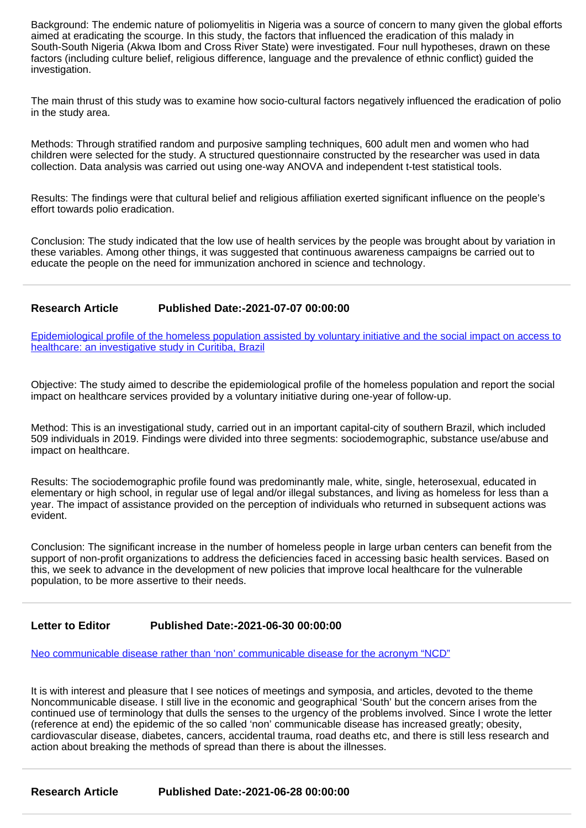Background: The endemic nature of poliomyelitis in Nigeria was a source of concern to many given the global efforts aimed at eradicating the scourge. In this study, the factors that influenced the eradication of this malady in South-South Nigeria (Akwa Ibom and Cross River State) were investigated. Four null hypotheses, drawn on these factors (including culture belief, religious difference, language and the prevalence of ethnic conflict) guided the investigation.

The main thrust of this study was to examine how socio-cultural factors negatively influenced the eradication of polio in the study area.

Methods: Through stratified random and purposive sampling techniques, 600 adult men and women who had children were selected for the study. A structured questionnaire constructed by the researcher was used in data collection. Data analysis was carried out using one-way ANOVA and independent t-test statistical tools.

Results: The findings were that cultural belief and religious affiliation exerted significant influence on the people's effort towards polio eradication.

Conclusion: The study indicated that the low use of health services by the people was brought about by variation in these variables. Among other things, it was suggested that continuous awareness campaigns be carried out to educate the people on the need for immunization anchored in science and technology.

### **Research Article Published Date:-2021-07-07 00:00:00**

[Epidemiological profile of the homeless population assisted by voluntary initiative and the social impact on access to](https://www.communitymedjournal.com/articles/jcmhs-aid1010.pdf) [healthcare: an investigative study in Curitiba, Brazil](https://www.communitymedjournal.com/articles/jcmhs-aid1010.pdf)

Objective: The study aimed to describe the epidemiological profile of the homeless population and report the social impact on healthcare services provided by a voluntary initiative during one-year of follow-up.

Method: This is an investigational study, carried out in an important capital-city of southern Brazil, which included 509 individuals in 2019. Findings were divided into three segments: sociodemographic, substance use/abuse and impact on healthcare.

Results: The sociodemographic profile found was predominantly male, white, single, heterosexual, educated in elementary or high school, in regular use of legal and/or illegal substances, and living as homeless for less than a year. The impact of assistance provided on the perception of individuals who returned in subsequent actions was evident.

Conclusion: The significant increase in the number of homeless people in large urban centers can benefit from the support of non-profit organizations to address the deficiencies faced in accessing basic health services. Based on this, we seek to advance in the development of new policies that improve local healthcare for the vulnerable population, to be more assertive to their needs.

#### **Letter to Editor Published Date:-2021-06-30 00:00:00**

[Neo communicable disease rather than 'non' communicable disease for the acronym "NCD"](https://www.communitymedjournal.com/articles/jcmhs-aid1009.pdf)

It is with interest and pleasure that I see notices of meetings and symposia, and articles, devoted to the theme Noncommunicable disease. I still live in the economic and geographical 'South' but the concern arises from the continued use of terminology that dulls the senses to the urgency of the problems involved. Since I wrote the letter (reference at end) the epidemic of the so called 'non' communicable disease has increased greatly; obesity, cardiovascular disease, diabetes, cancers, accidental trauma, road deaths etc, and there is still less research and action about breaking the methods of spread than there is about the illnesses.

**Research Article Published Date:-2021-06-28 00:00:00**